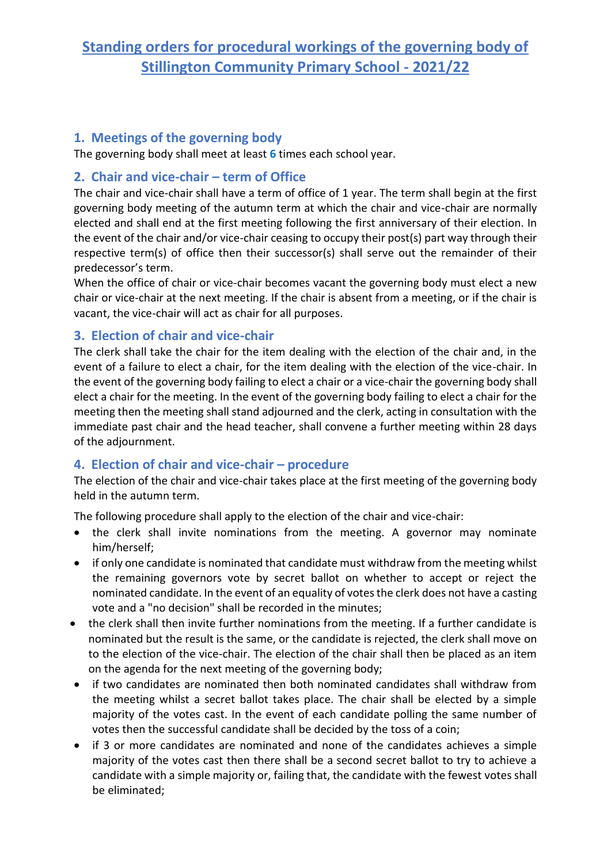# **Standing orders for procedural workings of the governing body of Stillington Community Primary School - 2021/22**

### **1. Meetings of the governing body**

The governing body shall meet at least **6** times each school year.

### **2. Chair and vice-chair – term of Office**

The chair and vice-chair shall have a term of office of 1 year. The term shall begin at the first governing body meeting of the autumn term at which the chair and vice-chair are normally elected and shall end at the first meeting following the first anniversary of their election. In the event of the chair and/or vice-chair ceasing to occupy their post(s) part way through their respective term(s) of office then their successor(s) shall serve out the remainder of their predecessor's term.

When the office of chair or vice-chair becomes vacant the governing body must elect a new chair or vice-chair at the next meeting. If the chair is absent from a meeting, or if the chair is vacant, the vice-chair will act as chair for all purposes.

### **3. Election of chair and vice-chair**

The clerk shall take the chair for the item dealing with the election of the chair and, in the event of a failure to elect a chair, for the item dealing with the election of the vice-chair. In the event of the governing body failing to elect a chair or a vice-chair the governing body shall elect a chair for the meeting. In the event of the governing body failing to elect a chair for the meeting then the meeting shall stand adjourned and the clerk, acting in consultation with the immediate past chair and the head teacher, shall convene a further meeting within 28 days of the adjournment.

### **4. Election of chair and vice-chair – procedure**

The election of the chair and vice-chair takes place at the first meeting of the governing body held in the autumn term.

The following procedure shall apply to the election of the chair and vice-chair:

- the clerk shall invite nominations from the meeting. A governor may nominate him/herself;
- if only one candidate is nominated that candidate must withdraw from the meeting whilst the remaining governors vote by secret ballot on whether to accept or reject the nominated candidate. In the event of an equality of votes the clerk does not have a casting vote and a "no decision" shall be recorded in the minutes;
- the clerk shall then invite further nominations from the meeting. If a further candidate is nominated but the result is the same, or the candidate is rejected, the clerk shall move on to the election of the vice-chair. The election of the chair shall then be placed as an item on the agenda for the next meeting of the governing body;
- if two candidates are nominated then both nominated candidates shall withdraw from the meeting whilst a secret ballot takes place. The chair shall be elected by a simple majority of the votes cast. In the event of each candidate polling the same number of votes then the successful candidate shall be decided by the toss of a coin;
- if 3 or more candidates are nominated and none of the candidates achieves a simple majority of the votes cast then there shall be a second secret ballot to try to achieve a candidate with a simple majority or, failing that, the candidate with the fewest votes shall be eliminated;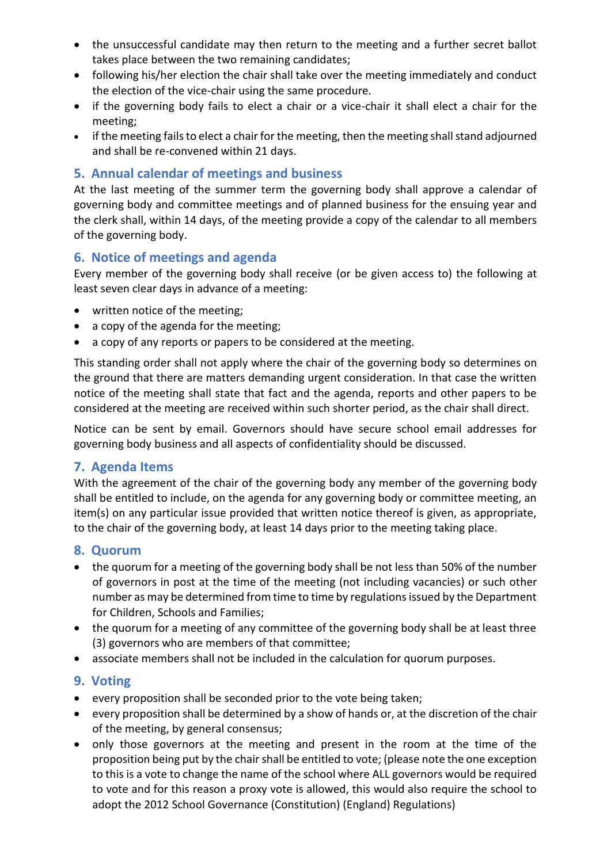- the unsuccessful candidate may then return to the meeting and a further secret ballot takes place between the two remaining candidates;
- following his/her election the chair shall take over the meeting immediately and conduct the election of the vice-chair using the same procedure.
- if the governing body fails to elect a chair or a vice-chair it shall elect a chair for the meeting;
- if the meeting fails to elect a chair for the meeting, then the meeting shall stand adjourned and shall be re-convened within 21 days.

### **5. Annual calendar of meetings and business**

At the last meeting of the summer term the governing body shall approve a calendar of governing body and committee meetings and of planned business for the ensuing year and the clerk shall, within 14 days, of the meeting provide a copy of the calendar to all members of the governing body.

### **6. Notice of meetings and agenda**

Every member of the governing body shall receive (or be given access to) the following at least seven clear days in advance of a meeting:

- written notice of the meeting;
- a copy of the agenda for the meeting;
- a copy of any reports or papers to be considered at the meeting.

This standing order shall not apply where the chair of the governing body so determines on the ground that there are matters demanding urgent consideration. In that case the written notice of the meeting shall state that fact and the agenda, reports and other papers to be considered at the meeting are received within such shorter period, as the chair shall direct.

Notice can be sent by email. Governors should have secure school email addresses for governing body business and all aspects of confidentiality should be discussed.

### **7. Agenda Items**

With the agreement of the chair of the governing body any member of the governing body shall be entitled to include, on the agenda for any governing body or committee meeting, an item(s) on any particular issue provided that written notice thereof is given, as appropriate, to the chair of the governing body, at least 14 days prior to the meeting taking place.

### **8. Quorum**

- the quorum for a meeting of the governing body shall be not less than 50% of the number of governors in post at the time of the meeting (not including vacancies) or such other number as may be determined from time to time by regulations issued by the Department for Children, Schools and Families;
- the quorum for a meeting of any committee of the governing body shall be at least three (3) governors who are members of that committee;
- associate members shall not be included in the calculation for quorum purposes.

### **9. Voting**

- every proposition shall be seconded prior to the vote being taken;
- every proposition shall be determined by a show of hands or, at the discretion of the chair of the meeting, by general consensus;
- only those governors at the meeting and present in the room at the time of the proposition being put by the chair shall be entitled to vote; (please note the one exception to this is a vote to change the name of the school where ALL governors would be required to vote and for this reason a proxy vote is allowed, this would also require the school to adopt the 2012 School Governance (Constitution) (England) Regulations)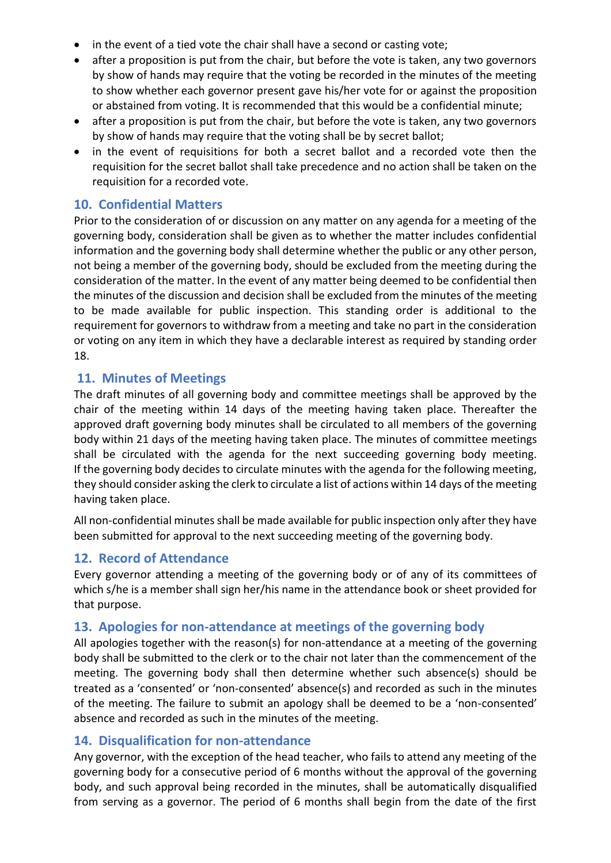- in the event of a tied vote the chair shall have a second or casting vote;
- after a proposition is put from the chair, but before the vote is taken, any two governors by show of hands may require that the voting be recorded in the minutes of the meeting to show whether each governor present gave his/her vote for or against the proposition or abstained from voting. It is recommended that this would be a confidential minute;
- after a proposition is put from the chair, but before the vote is taken, any two governors by show of hands may require that the voting shall be by secret ballot;
- in the event of requisitions for both a secret ballot and a recorded vote then the requisition for the secret ballot shall take precedence and no action shall be taken on the requisition for a recorded vote.

#### **10. Confidential Matters**

Prior to the consideration of or discussion on any matter on any agenda for a meeting of the governing body, consideration shall be given as to whether the matter includes confidential information and the governing body shall determine whether the public or any other person, not being a member of the governing body, should be excluded from the meeting during the consideration of the matter. In the event of any matter being deemed to be confidential then the minutes of the discussion and decision shall be excluded from the minutes of the meeting to be made available for public inspection. This standing order is additional to the requirement for governors to withdraw from a meeting and take no part in the consideration or voting on any item in which they have a declarable interest as required by standing order 18.

#### **11. Minutes of Meetings**

The draft minutes of all governing body and committee meetings shall be approved by the chair of the meeting within 14 days of the meeting having taken place. Thereafter the approved draft governing body minutes shall be circulated to all members of the governing body within 21 days of the meeting having taken place. The minutes of committee meetings shall be circulated with the agenda for the next succeeding governing body meeting. If the governing body decides to circulate minutes with the agenda for the following meeting, they should consider asking the clerk to circulate a list of actions within 14 days of the meeting having taken place.

All non-confidential minutes shall be made available for public inspection only after they have been submitted for approval to the next succeeding meeting of the governing body.

#### **12. Record of Attendance**

Every governor attending a meeting of the governing body or of any of its committees of which s/he is a member shall sign her/his name in the attendance book or sheet provided for that purpose.

#### **13. Apologies for non-attendance at meetings of the governing body**

All apologies together with the reason(s) for non-attendance at a meeting of the governing body shall be submitted to the clerk or to the chair not later than the commencement of the meeting. The governing body shall then determine whether such absence(s) should be treated as a 'consented' or 'non-consented' absence(s) and recorded as such in the minutes of the meeting. The failure to submit an apology shall be deemed to be a 'non-consented' absence and recorded as such in the minutes of the meeting.

#### **14. Disqualification for non-attendance**

Any governor, with the exception of the head teacher, who fails to attend any meeting of the governing body for a consecutive period of 6 months without the approval of the governing body, and such approval being recorded in the minutes, shall be automatically disqualified from serving as a governor. The period of 6 months shall begin from the date of the first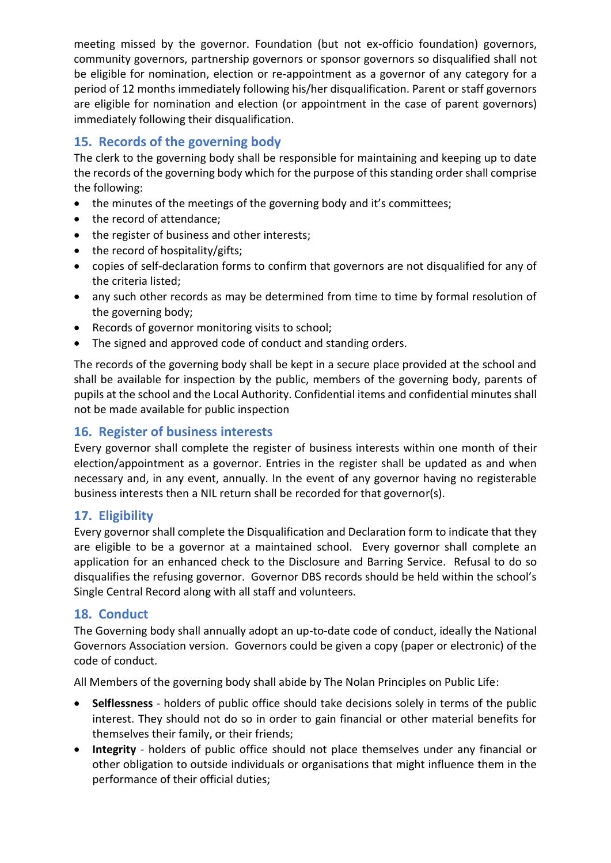meeting missed by the governor. Foundation (but not ex-officio foundation) governors, community governors, partnership governors or sponsor governors so disqualified shall not be eligible for nomination, election or re-appointment as a governor of any category for a period of 12 months immediately following his/her disqualification. Parent or staff governors are eligible for nomination and election (or appointment in the case of parent governors) immediately following their disqualification.

# **15. Records of the governing body**

The clerk to the governing body shall be responsible for maintaining and keeping up to date the records of the governing body which for the purpose of this standing order shall comprise the following:

- the minutes of the meetings of the governing body and it's committees;
- the record of attendance;
- the register of business and other interests;
- the record of hospitality/gifts;
- copies of self-declaration forms to confirm that governors are not disqualified for any of the criteria listed;
- any such other records as may be determined from time to time by formal resolution of the governing body;
- Records of governor monitoring visits to school;
- The signed and approved code of conduct and standing orders.

The records of the governing body shall be kept in a secure place provided at the school and shall be available for inspection by the public, members of the governing body, parents of pupils at the school and the Local Authority. Confidential items and confidential minutes shall not be made available for public inspection

# **16. Register of business interests**

Every governor shall complete the register of business interests within one month of their election/appointment as a governor. Entries in the register shall be updated as and when necessary and, in any event, annually. In the event of any governor having no registerable business interests then a NIL return shall be recorded for that governor(s).

# **17. Eligibility**

Every governor shall complete the Disqualification and Declaration form to indicate that they are eligible to be a governor at a maintained school. Every governor shall complete an application for an enhanced check to the Disclosure and Barring Service. Refusal to do so disqualifies the refusing governor. Governor DBS records should be held within the school's Single Central Record along with all staff and volunteers.

### **18. Conduct**

The Governing body shall annually adopt an up-to-date code of conduct, ideally the National Governors Association version. Governors could be given a copy (paper or electronic) of the code of conduct.

All Members of the governing body shall abide by The Nolan Principles on Public Life:

- **Selflessness** holders of public office should take decisions solely in terms of the public interest. They should not do so in order to gain financial or other material benefits for themselves their family, or their friends;
- **Integrity** holders of public office should not place themselves under any financial or other obligation to outside individuals or organisations that might influence them in the performance of their official duties;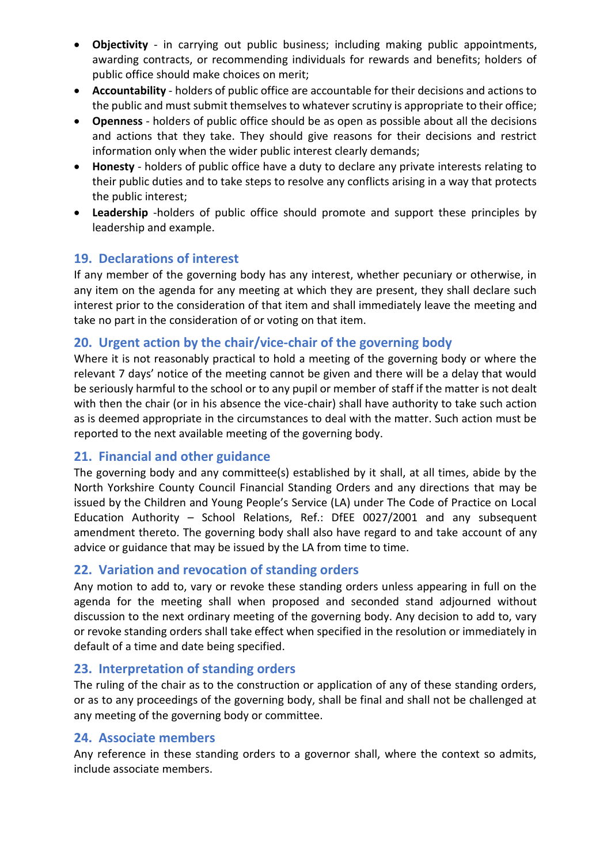- **Objectivity**  in carrying out public business; including making public appointments, awarding contracts, or recommending individuals for rewards and benefits; holders of public office should make choices on merit;
- **Accountability**  holders of public office are accountable for their decisions and actions to the public and must submit themselves to whatever scrutiny is appropriate to their office;
- **Openness**  holders of public office should be as open as possible about all the decisions and actions that they take. They should give reasons for their decisions and restrict information only when the wider public interest clearly demands;
- **Honesty**  holders of public office have a duty to declare any private interests relating to their public duties and to take steps to resolve any conflicts arising in a way that protects the public interest;
- **Leadership** -holders of public office should promote and support these principles by leadership and example.

### **19. Declarations of interest**

If any member of the governing body has any interest, whether pecuniary or otherwise, in any item on the agenda for any meeting at which they are present, they shall declare such interest prior to the consideration of that item and shall immediately leave the meeting and take no part in the consideration of or voting on that item.

### **20. Urgent action by the chair/vice-chair of the governing body**

Where it is not reasonably practical to hold a meeting of the governing body or where the relevant 7 days' notice of the meeting cannot be given and there will be a delay that would be seriously harmful to the school or to any pupil or member of staff if the matter is not dealt with then the chair (or in his absence the vice-chair) shall have authority to take such action as is deemed appropriate in the circumstances to deal with the matter. Such action must be reported to the next available meeting of the governing body.

# **21. Financial and other guidance**

The governing body and any committee(s) established by it shall, at all times, abide by the North Yorkshire County Council Financial Standing Orders and any directions that may be issued by the Children and Young People's Service (LA) under The Code of Practice on Local Education Authority – School Relations, Ref.: DfEE 0027/2001 and any subsequent amendment thereto. The governing body shall also have regard to and take account of any advice or guidance that may be issued by the LA from time to time.

### **22. Variation and revocation of standing orders**

Any motion to add to, vary or revoke these standing orders unless appearing in full on the agenda for the meeting shall when proposed and seconded stand adjourned without discussion to the next ordinary meeting of the governing body. Any decision to add to, vary or revoke standing orders shall take effect when specified in the resolution or immediately in default of a time and date being specified.

### **23. Interpretation of standing orders**

The ruling of the chair as to the construction or application of any of these standing orders, or as to any proceedings of the governing body, shall be final and shall not be challenged at any meeting of the governing body or committee.

#### **24. Associate members**

Any reference in these standing orders to a governor shall, where the context so admits, include associate members.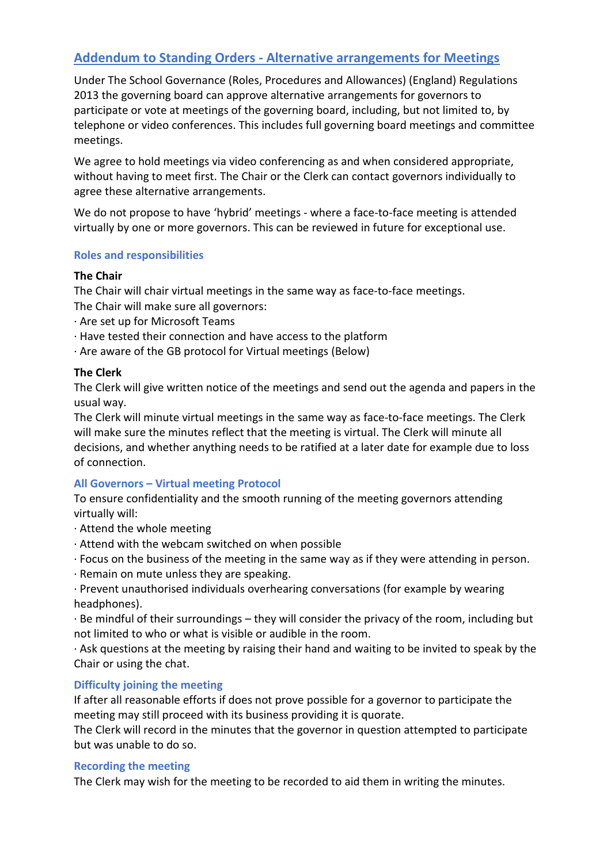# **Addendum to Standing Orders - Alternative arrangements for Meetings**

Under The School Governance (Roles, Procedures and Allowances) (England) Regulations 2013 the governing board can approve alternative arrangements for governors to participate or vote at meetings of the governing board, including, but not limited to, by telephone or video conferences. This includes full governing board meetings and committee meetings.

We agree to hold meetings via video conferencing as and when considered appropriate, without having to meet first. The Chair or the Clerk can contact governors individually to agree these alternative arrangements.

We do not propose to have 'hybrid' meetings - where a face-to-face meeting is attended virtually by one or more governors. This can be reviewed in future for exceptional use.

#### **Roles and responsibilities**

#### **The Chair**

The Chair will chair virtual meetings in the same way as face-to-face meetings.

The Chair will make sure all governors:

- · Are set up for Microsoft Teams
- · Have tested their connection and have access to the platform
- · Are aware of the GB protocol for Virtual meetings (Below)

#### **The Clerk**

The Clerk will give written notice of the meetings and send out the agenda and papers in the usual way.

The Clerk will minute virtual meetings in the same way as face-to-face meetings. The Clerk will make sure the minutes reflect that the meeting is virtual. The Clerk will minute all decisions, and whether anything needs to be ratified at a later date for example due to loss of connection.

#### **All Governors – Virtual meeting Protocol**

To ensure confidentiality and the smooth running of the meeting governors attending virtually will:

- · Attend the whole meeting
- · Attend with the webcam switched on when possible
- · Focus on the business of the meeting in the same way as if they were attending in person.
- · Remain on mute unless they are speaking.
- · Prevent unauthorised individuals overhearing conversations (for example by wearing headphones).
- · Be mindful of their surroundings they will consider the privacy of the room, including but not limited to who or what is visible or audible in the room.

· Ask questions at the meeting by raising their hand and waiting to be invited to speak by the Chair or using the chat.

#### **Difficulty joining the meeting**

If after all reasonable efforts if does not prove possible for a governor to participate the meeting may still proceed with its business providing it is quorate.

The Clerk will record in the minutes that the governor in question attempted to participate but was unable to do so.

#### **Recording the meeting**

The Clerk may wish for the meeting to be recorded to aid them in writing the minutes.